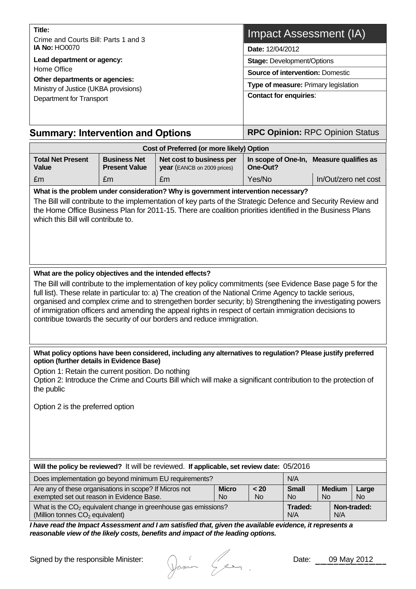| Title:<br>Crime and Courts Bill: Parts 1 and 3<br><b>IA No: HO0070</b><br>Lead department or agency:<br>Home Office<br>Other departments or agencies: |                                             |                                                                                                                                                                                                                                                                                                                                                                                                                                                                                                                         | Impact Assessment (IA)                                                                                                                   |                                          |  |                                          |  |  |                               |                                        |  |
|-------------------------------------------------------------------------------------------------------------------------------------------------------|---------------------------------------------|-------------------------------------------------------------------------------------------------------------------------------------------------------------------------------------------------------------------------------------------------------------------------------------------------------------------------------------------------------------------------------------------------------------------------------------------------------------------------------------------------------------------------|------------------------------------------------------------------------------------------------------------------------------------------|------------------------------------------|--|------------------------------------------|--|--|-------------------------------|----------------------------------------|--|
|                                                                                                                                                       |                                             |                                                                                                                                                                                                                                                                                                                                                                                                                                                                                                                         | Date: 12/04/2012<br><b>Stage: Development/Options</b><br><b>Source of intervention: Domestic</b><br>Type of measure: Primary legislation |                                          |  |                                          |  |  |                               |                                        |  |
|                                                                                                                                                       |                                             |                                                                                                                                                                                                                                                                                                                                                                                                                                                                                                                         |                                                                                                                                          |                                          |  | Ministry of Justice (UKBA provisions)    |  |  | <b>Contact for enquiries:</b> |                                        |  |
|                                                                                                                                                       |                                             |                                                                                                                                                                                                                                                                                                                                                                                                                                                                                                                         |                                                                                                                                          |                                          |  | Department for Transport                 |  |  |                               |                                        |  |
|                                                                                                                                                       |                                             |                                                                                                                                                                                                                                                                                                                                                                                                                                                                                                                         |                                                                                                                                          |                                          |  | <b>Summary: Intervention and Options</b> |  |  |                               | <b>RPC Opinion: RPC Opinion Status</b> |  |
|                                                                                                                                                       |                                             | Cost of Preferred (or more likely) Option                                                                                                                                                                                                                                                                                                                                                                                                                                                                               |                                                                                                                                          |                                          |  |                                          |  |  |                               |                                        |  |
| <b>Total Net Present</b><br>Value                                                                                                                     | <b>Business Net</b><br><b>Present Value</b> | Net cost to business per<br>year (EANCB on 2009 prices)                                                                                                                                                                                                                                                                                                                                                                                                                                                                 | One-Out?                                                                                                                                 | In scope of One-In, Measure qualifies as |  |                                          |  |  |                               |                                        |  |
| £m                                                                                                                                                    | £m                                          | £m                                                                                                                                                                                                                                                                                                                                                                                                                                                                                                                      | Yes/No                                                                                                                                   | In/Out/zero net cost                     |  |                                          |  |  |                               |                                        |  |
|                                                                                                                                                       |                                             |                                                                                                                                                                                                                                                                                                                                                                                                                                                                                                                         |                                                                                                                                          |                                          |  |                                          |  |  |                               |                                        |  |
| What are the policy objectives and the intended effects?                                                                                              |                                             | The Bill will contribute to the implementation of key policy commitments (see Evidence Base page 5 for the<br>full list). These relate in particular to: a) The creation of the National Crime Agency to tackle serious.<br>organised and complex crime and to strengethen border security; b) Strengthening the investigating powers<br>of immigration officers and amending the appeal rights in respect of certain immigration decisions to<br>contribue towards the security of our borders and reduce immigration. |                                                                                                                                          |                                          |  |                                          |  |  |                               |                                        |  |
|                                                                                                                                                       |                                             |                                                                                                                                                                                                                                                                                                                                                                                                                                                                                                                         |                                                                                                                                          |                                          |  |                                          |  |  |                               |                                        |  |
| option (further details in Evidence Base)<br>Option 1: Retain the current position. Do nothing<br>the public<br>Option 2 is the preferred option      |                                             | What policy options have been considered, including any alternatives to regulation? Please justify preferred<br>Option 2: Introduce the Crime and Courts Bill which will make a significant contribution to the protection of                                                                                                                                                                                                                                                                                           |                                                                                                                                          |                                          |  |                                          |  |  |                               |                                        |  |
|                                                                                                                                                       |                                             | Will the policy be reviewed? It will be reviewed. If applicable, set review date: 05/2016                                                                                                                                                                                                                                                                                                                                                                                                                               |                                                                                                                                          |                                          |  |                                          |  |  |                               |                                        |  |

| Are any of these organisations in scope? If Micros not<br><b>Micro</b>                                |           | < 20 | <b>Small</b>     | <b>Medium</b>      | Large     |
|-------------------------------------------------------------------------------------------------------|-----------|------|------------------|--------------------|-----------|
| exempted set out reason in Evidence Base.                                                             | <b>No</b> | No   | No.<br><b>No</b> |                    | <b>No</b> |
| What is the $CO2$ equivalent change in greenhouse gas emissions?<br>(Million tonnes $CO2$ equivalent) |           |      | Traded:<br>N/A   | Non-traded:<br>N/A |           |

*I have read the Impact Assessment and I am satisfied that, given the available evidence, it represents a reasonable view of the likely costs, benefits and impact of the leading options.* 

Signed by the responsible Minister:

Dania Gen.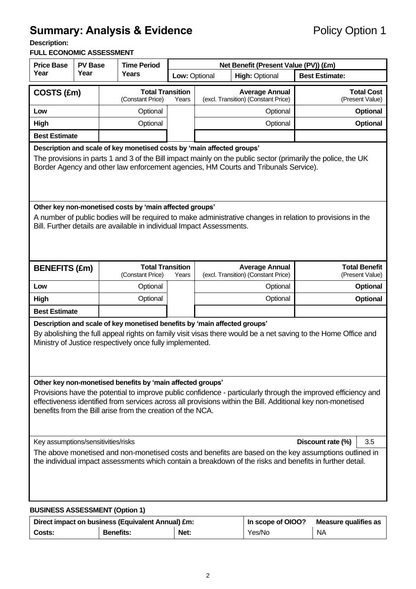# **Summary: Analysis & Evidence** Policy Option 1

**Description:** 

#### **FULL ECONOMIC ASSESSMENT**

| <b>Price Base</b><br><b>PV Base</b>                                                                                                                                                                                                                                                                                  |                                                                                                                                                                                                                                                | <b>Time Period</b> |                                             | Net Benefit (Present Value (PV)) (£m) |                                                              |                                                              |                                      |                                         |
|----------------------------------------------------------------------------------------------------------------------------------------------------------------------------------------------------------------------------------------------------------------------------------------------------------------------|------------------------------------------------------------------------------------------------------------------------------------------------------------------------------------------------------------------------------------------------|--------------------|---------------------------------------------|---------------------------------------|--------------------------------------------------------------|--------------------------------------------------------------|--------------------------------------|-----------------------------------------|
| Year                                                                                                                                                                                                                                                                                                                 | Year                                                                                                                                                                                                                                           |                    | Years                                       |                                       | Low: Optional<br><b>High: Optional</b>                       |                                                              | <b>Best Estimate:</b>                |                                         |
| COSTS (£m)                                                                                                                                                                                                                                                                                                           |                                                                                                                                                                                                                                                |                    | <b>Total Transition</b><br>(Constant Price) | Years                                 | <b>Average Annual</b><br>(excl. Transition) (Constant Price) |                                                              | <b>Total Cost</b><br>(Present Value) |                                         |
| Low                                                                                                                                                                                                                                                                                                                  |                                                                                                                                                                                                                                                |                    | Optional                                    |                                       | Optional                                                     |                                                              |                                      | <b>Optional</b>                         |
| <b>High</b>                                                                                                                                                                                                                                                                                                          |                                                                                                                                                                                                                                                |                    | Optional                                    |                                       | Optional                                                     |                                                              |                                      | Optional                                |
| <b>Best Estimate</b>                                                                                                                                                                                                                                                                                                 |                                                                                                                                                                                                                                                |                    |                                             |                                       |                                                              |                                                              |                                      |                                         |
| Description and scale of key monetised costs by 'main affected groups'<br>The provisions in parts 1 and 3 of the Bill impact mainly on the public sector (primarily the police, the UK<br>Border Agency and other law enforcement agencies, HM Courts and Tribunals Service).                                        |                                                                                                                                                                                                                                                |                    |                                             |                                       |                                                              |                                                              |                                      |                                         |
|                                                                                                                                                                                                                                                                                                                      | Other key non-monetised costs by 'main affected groups'<br>A number of public bodies will be required to make administrative changes in relation to provisions in the<br>Bill. Further details are available in individual Impact Assessments. |                    |                                             |                                       |                                                              |                                                              |                                      |                                         |
| <b>BENEFITS (£m)</b>                                                                                                                                                                                                                                                                                                 |                                                                                                                                                                                                                                                |                    | <b>Total Transition</b><br>(Constant Price) | Years                                 |                                                              | <b>Average Annual</b><br>(excl. Transition) (Constant Price) |                                      | <b>Total Benefit</b><br>(Present Value) |
| Low                                                                                                                                                                                                                                                                                                                  |                                                                                                                                                                                                                                                |                    | Optional                                    |                                       |                                                              | Optional                                                     |                                      | <b>Optional</b>                         |
| <b>High</b>                                                                                                                                                                                                                                                                                                          |                                                                                                                                                                                                                                                |                    | Optional                                    |                                       |                                                              | Optional                                                     |                                      | Optional                                |
| <b>Best Estimate</b>                                                                                                                                                                                                                                                                                                 |                                                                                                                                                                                                                                                |                    |                                             |                                       |                                                              |                                                              |                                      |                                         |
| Description and scale of key monetised benefits by 'main affected groups'<br>By abolishing the full appeal rights on family visit visas there would be a net saving to the Home Office and<br>Ministry of Justice respectively once fully implemented.<br>Other key non-monetised benefits by 'main affected groups' |                                                                                                                                                                                                                                                |                    |                                             |                                       |                                                              |                                                              |                                      |                                         |
| Provisions have the potential to improve public confidence - particularly through the improved efficiency and<br>effectiveness identified from services across all provisions within the Bill. Additional key non-monetised<br>benefits from the Bill arise from the creation of the NCA.                            |                                                                                                                                                                                                                                                |                    |                                             |                                       |                                                              |                                                              |                                      |                                         |
| Key assumptions/sensitivities/risks                                                                                                                                                                                                                                                                                  |                                                                                                                                                                                                                                                |                    |                                             |                                       |                                                              |                                                              | Discount rate (%)                    | 3.5                                     |
| The above monetised and non-monetised costs and benefits are based on the key assumptions outlined in<br>the individual impact assessments which contain a breakdown of the risks and benefits in further detail.                                                                                                    |                                                                                                                                                                                                                                                |                    |                                             |                                       |                                                              |                                                              |                                      |                                         |
| <b>BUSINESS ASSESSMENT (Option 1)</b>                                                                                                                                                                                                                                                                                |                                                                                                                                                                                                                                                |                    |                                             |                                       |                                                              |                                                              |                                      |                                         |

| Direct impact on business (Equivalent Annual) £m: |                  |      | In scope of OIOO?<br>Measure qualifies as |    |  |
|---------------------------------------------------|------------------|------|-------------------------------------------|----|--|
| Costs:                                            | <b>Benefits:</b> | Net: | Yes/No                                    | ΝA |  |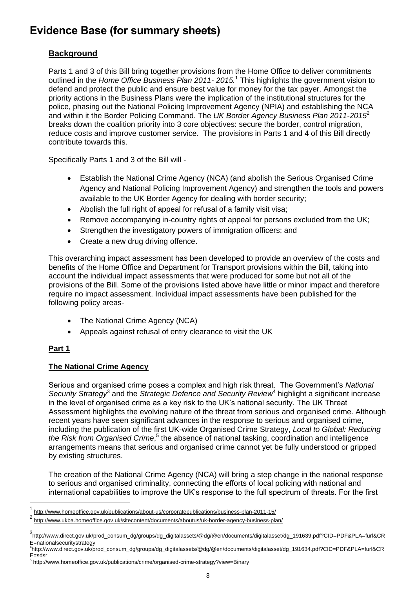## **Evidence Base (for summary sheets)**

### **Background**

Parts 1 and 3 of this Bill bring together provisions from the Home Office to deliver commitments outlined in the *Home Office Business Plan 2011- 2015.* <sup>1</sup> This highlights the government vision to defend and protect the public and ensure best value for money for the tax payer. Amongst the priority actions in the Business Plans were the implication of the institutional structures for the police, phasing out the National Policing Improvement Agency (NPIA) and establishing the NCA and within it the Border Policing Command. The *UK Border Agency Business Plan 2011-2015*<sup>2</sup> breaks down the coalition priority into 3 core objectives: secure the border, control migration, reduce costs and improve customer service. The provisions in Parts 1 and 4 of this Bill directly contribute towards this.

Specifically Parts 1 and 3 of the Bill will -

- Establish the National Crime Agency (NCA) (and abolish the Serious Organised Crime Agency and National Policing Improvement Agency) and strengthen the tools and powers available to the UK Border Agency for dealing with border security;
- Abolish the full right of appeal for refusal of a family visit visa;
- Remove accompanying in-country rights of appeal for persons excluded from the UK;
- Strengthen the investigatory powers of immigration officers; and
- Create a new drug driving offence.

This overarching impact assessment has been developed to provide an overview of the costs and benefits of the Home Office and Department for Transport provisions within the Bill, taking into account the individual impact assessments that were produced for some but not all of the provisions of the Bill. Some of the provisions listed above have little or minor impact and therefore require no impact assessment. Individual impact assessments have been published for the following policy areas-

- The National Crime Agency (NCA)
- Appeals against refusal of entry clearance to visit the UK

#### **Part 1**

l

#### **The National Crime Agency**

Serious and organised crime poses a complex and high risk threat. The Government"s *National*  Security Strategy<sup>3</sup> and the Strategic Defence and Security Review<sup>4</sup> highlight a significant increase in the level of organised crime as a key risk to the UK"s national security. The UK Threat Assessment highlights the evolving nature of the threat from serious and organised crime. Although recent years have seen significant advances in the response to serious and organised crime, including the publication of the first UK-wide Organised Crime Strategy, *Local to Global: Reducing*  the Risk from Organised Crime,<sup>5</sup> the absence of national tasking, coordination and intelligence arrangements means that serious and organised crime cannot yet be fully understood or gripped by existing structures.

The creation of the National Crime Agency (NCA) will bring a step change in the national response to serious and organised criminality, connecting the efforts of local policing with national and international capabilities to improve the UK"s response to the full spectrum of threats. For the first

<sup>1</sup> <http://www.homeoffice.gov.uk/publications/about-us/corporatepublications/business-plan-2011-15/>

<sup>2</sup> <http://www.ukba.homeoffice.gov.uk/sitecontent/documents/aboutus/uk-border-agency-business-plan/>

<sup>3</sup> http://www.direct.gov.uk/prod\_consum\_dg/groups/dg\_digitalassets/@dg/@en/documents/digitalasset/dg\_191639.pdf?CID=PDF&PLA=furl&CR E=nationalsecuritystrategy

<sup>4</sup> http://www.direct.gov.uk/prod\_consum\_dg/groups/dg\_digitalassets/@dg/@en/documents/digitalasset/dg\_191634.pdf?CID=PDF&PLA=furl&CR E=sdsr

<sup>&</sup>lt;sup>5</sup> http://www.homeoffice.gov.uk/publications/crime/organised-crime-strategy?view=Binary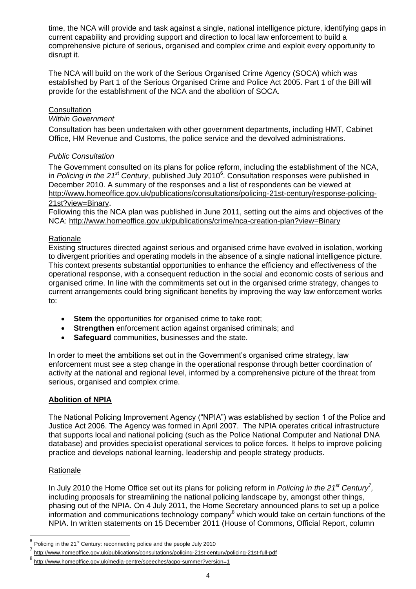time, the NCA will provide and task against a single, national intelligence picture, identifying gaps in current capability and providing support and direction to local law enforcement to build a comprehensive picture of serious, organised and complex crime and exploit every opportunity to disrupt it.

The NCA will build on the work of the Serious Organised Crime Agency (SOCA) which was established by Part 1 of the Serious Organised Crime and Police Act 2005. Part 1 of the Bill will provide for the establishment of the NCA and the abolition of SOCA.

#### **Consultation**

#### *Within Government*

Consultation has been undertaken with other government departments, including HMT, Cabinet Office, HM Revenue and Customs, the police service and the devolved administrations.

#### *Public Consultation*

The Government consulted on its plans for police reform, including the establishment of the NCA, in *Policing in the 21st Century*, published July 2010<sup>6</sup> . Consultation responses were published in December 2010. A summary of the responses and a list of respondents can be viewed at [http://www.homeoffice.gov.uk/publications/consultations/policing-21st-century/response-policing-](http://www.homeoffice.gov.uk/publications/consultations/policing-21st-century/response-policing-21st?view=Binary)[21st?view=Binary](http://www.homeoffice.gov.uk/publications/consultations/policing-21st-century/response-policing-21st?view=Binary).

Following this the NCA plan was published in June 2011, setting out the aims and objectives of the NCA:<http://www.homeoffice.gov.uk/publications/crime/nca-creation-plan?view=Binary>

#### Rationale

Existing structures directed against serious and organised crime have evolved in isolation, working to divergent priorities and operating models in the absence of a single national intelligence picture. This context presents substantial opportunities to enhance the efficiency and effectiveness of the operational response, with a consequent reduction in the social and economic costs of serious and organised crime. In line with the commitments set out in the organised crime strategy, changes to current arrangements could bring significant benefits by improving the way law enforcement works to:

- **Stem** the opportunities for organised crime to take root;
- **Strengthen** enforcement action against organised criminals; and
- **Safeguard** communities, businesses and the state.

In order to meet the ambitions set out in the Government"s organised crime strategy, law enforcement must see a step change in the operational response through better coordination of activity at the national and regional level, informed by a comprehensive picture of the threat from serious, organised and complex crime.

#### **Abolition of NPIA**

The National Policing Improvement Agency ("NPIA") was established by section 1 of the Police and Justice Act 2006. The Agency was formed in April 2007. The NPIA operates critical infrastructure that supports local and national policing (such as the Police National Computer and National DNA database) and provides specialist operational services to police forces. It helps to improve policing practice and develops national learning, leadership and people strategy products.

#### **Rationale**

In July 2010 the Home Office set out its plans for policing reform in *Policing in the 21st Century<sup>7</sup> ,*  including proposals for streamlining the national policing landscape by, amongst other things, phasing out of the NPIA. On 4 July 2011, the Home Secretary announced plans to set up a police information and communications technology company<sup>8</sup> which would take on certain functions of the NPIA. In written statements on 15 December 2011 (House of Commons, Official Report, column

<sup>&</sup>lt;sup>6</sup><br><sup>6</sup> Policing in the 21<sup>st</sup> Century: reconnecting police and the people July 2010<br>7 May though beneating a sure that inclination (consultation (a listing 2014 or

<http://www.homeoffice.gov.uk/publications/consultations/policing-21st-century/policing-21st-full-pdf>

<sup>8</sup> <http://www.homeoffice.gov.uk/media-centre/speeches/acpo-summer?version=1>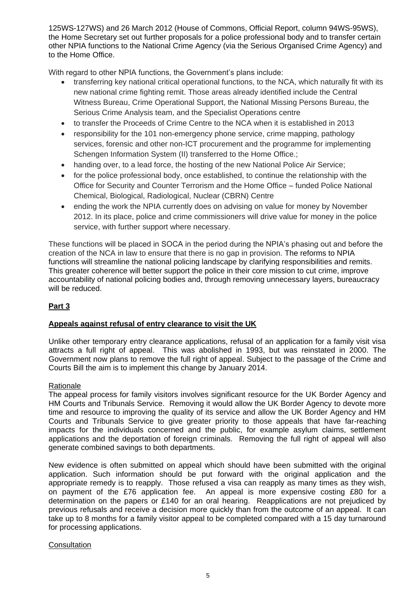125WS-127WS) and 26 March 2012 (House of Commons, Official Report, column 94WS-95WS), the Home Secretary set out further proposals for a police professional body and to transfer certain other NPIA functions to the National Crime Agency (via the Serious Organised Crime Agency) and to the Home Office.

With regard to other NPIA functions, the Government's plans include:

- transferring key national critical operational functions, to the NCA, which naturally fit with its new national crime fighting remit. Those areas already identified include the Central Witness Bureau, Crime Operational Support, the National Missing Persons Bureau, the Serious Crime Analysis team, and the Specialist Operations centre
- to transfer the Proceeds of Crime Centre to the NCA when it is established in 2013
- responsibility for the 101 non-emergency phone service, crime mapping, pathology services, forensic and other non-ICT procurement and the programme for implementing Schengen Information System (II) transferred to the Home Office.;
- handing over, to a lead force, the hosting of the new National Police Air Service:
- for the police professional body, once established, to continue the relationship with the Office for Security and Counter Terrorism and the Home Office – funded Police National Chemical, Biological, Radiological, Nuclear (CBRN) Centre
- ending the work the NPIA currently does on advising on value for money by November 2012. In its place, police and crime commissioners will drive value for money in the police service, with further support where necessary.

These functions will be placed in SOCA in the period during the NPIA"s phasing out and before the creation of the NCA in law to ensure that there is no gap in provision. The reforms to NPIA functions will streamline the national policing landscape by clarifying responsibilities and remits. This greater coherence will better support the police in their core mission to cut crime, improve accountability of national policing bodies and, through removing unnecessary layers, bureaucracy will be reduced.

#### **Part 3**

#### **Appeals against refusal of entry clearance to visit the UK**

Unlike other temporary entry clearance applications, refusal of an application for a family visit visa attracts a full right of appeal. This was abolished in 1993, but was reinstated in 2000. The Government now plans to remove the full right of appeal. Subject to the passage of the Crime and Courts Bill the aim is to implement this change by January 2014.

#### Rationale

The appeal process for family visitors involves significant resource for the UK Border Agency and HM Courts and Tribunals Service. Removing it would allow the UK Border Agency to devote more time and resource to improving the quality of its service and allow the UK Border Agency and HM Courts and Tribunals Service to give greater priority to those appeals that have far-reaching impacts for the individuals concerned and the public, for example asylum claims, settlement applications and the deportation of foreign criminals. Removing the full right of appeal will also generate combined savings to both departments.

New evidence is often submitted on appeal which should have been submitted with the original application. Such information should be put forward with the original application and the appropriate remedy is to reapply. Those refused a visa can reapply as many times as they wish, on payment of the £76 application fee. An appeal is more expensive costing £80 for a determination on the papers or £140 for an oral hearing. Reapplications are not prejudiced by previous refusals and receive a decision more quickly than from the outcome of an appeal. It can take up to 8 months for a family visitor appeal to be completed compared with a 15 day turnaround for processing applications.

#### **Consultation**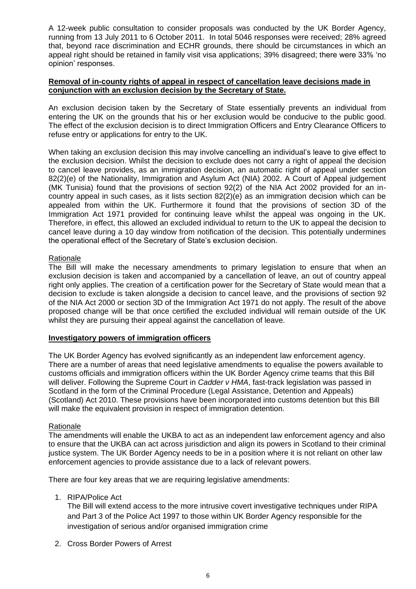A 12-week public consultation to consider proposals was conducted by the UK Border Agency, running from 13 July 2011 to 6 October 2011. In total 5046 responses were received; 28% agreed that, beyond race discrimination and ECHR grounds, there should be circumstances in which an appeal right should be retained in family visit visa applications; 39% disagreed; there were 33% "no opinion" responses.

#### **Removal of in-county rights of appeal in respect of cancellation leave decisions made in conjunction with an exclusion decision by the Secretary of State.**

An exclusion decision taken by the Secretary of State essentially prevents an individual from entering the UK on the grounds that his or her exclusion would be conducive to the public good. The effect of the exclusion decision is to direct Immigration Officers and Entry Clearance Officers to refuse entry or applications for entry to the UK.

When taking an exclusion decision this may involve cancelling an individual's leave to give effect to the exclusion decision. Whilst the decision to exclude does not carry a right of appeal the decision to cancel leave provides, as an immigration decision, an automatic right of appeal under section 82(2)(e) of the Nationality, Immigration and Asylum Act (NIA) 2002. A Court of Appeal judgement (MK Tunisia) found that the provisions of section 92(2) of the NIA Act 2002 provided for an incountry appeal in such cases, as it lists section 82(2)(e) as an immigration decision which can be appealed from within the UK. Furthermore it found that the provisions of section 3D of the Immigration Act 1971 provided for continuing leave whilst the appeal was ongoing in the UK. Therefore, in effect, this allowed an excluded individual to return to the UK to appeal the decision to cancel leave during a 10 day window from notification of the decision. This potentially undermines the operational effect of the Secretary of State's exclusion decision.

#### Rationale

The Bill will make the necessary amendments to primary legislation to ensure that when an exclusion decision is taken and accompanied by a cancellation of leave, an out of country appeal right only applies. The creation of a certification power for the Secretary of State would mean that a decision to exclude is taken alongside a decision to cancel leave, and the provisions of section 92 of the NIA Act 2000 or section 3D of the Immigration Act 1971 do not apply. The result of the above proposed change will be that once certified the excluded individual will remain outside of the UK whilst they are pursuing their appeal against the cancellation of leave.

#### **Investigatory powers of immigration officers**

The UK Border Agency has evolved significantly as an independent law enforcement agency. There are a number of areas that need legislative amendments to equalise the powers available to customs officials and immigration officers within the UK Border Agency crime teams that this Bill will deliver. Following the Supreme Court in *Cadder v HMA*, fast-track legislation was passed in Scotland in the form of the Criminal Procedure (Legal Assistance, Detention and Appeals) (Scotland) Act 2010. These provisions have been incorporated into customs detention but this Bill will make the equivalent provision in respect of immigration detention.

#### Rationale

The amendments will enable the UKBA to act as an independent law enforcement agency and also to ensure that the UKBA can act across jurisdiction and align its powers in Scotland to their criminal justice system. The UK Border Agency needs to be in a position where it is not reliant on other law enforcement agencies to provide assistance due to a lack of relevant powers.

There are four key areas that we are requiring legislative amendments:

1. RIPA/Police Act

The Bill will extend access to the more intrusive covert investigative techniques under RIPA and Part 3 of the Police Act 1997 to those within UK Border Agency responsible for the investigation of serious and/or organised immigration crime

2. Cross Border Powers of Arrest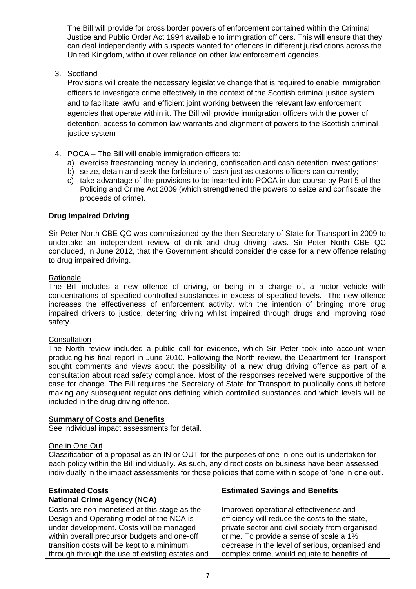The Bill will provide for cross border powers of enforcement contained within the Criminal Justice and Public Order Act 1994 available to immigration officers. This will ensure that they can deal independently with suspects wanted for offences in different jurisdictions across the United Kingdom, without over reliance on other law enforcement agencies.

3. Scotland

Provisions will create the necessary legislative change that is required to enable immigration officers to investigate crime effectively in the context of the Scottish criminal justice system and to facilitate lawful and efficient joint working between the relevant law enforcement agencies that operate within it. The Bill will provide immigration officers with the power of detention, access to common law warrants and alignment of powers to the Scottish criminal justice system

- 4. POCA The Bill will enable immigration officers to:
	- a) exercise freestanding money laundering, confiscation and cash detention investigations;
	- b) seize, detain and seek the forfeiture of cash just as customs officers can currently;
	- c) take advantage of the provisions to be inserted into POCA in due course by Part 5 of the Policing and Crime Act 2009 (which strengthened the powers to seize and confiscate the proceeds of crime).

#### **Drug Impaired Driving**

Sir Peter North CBE QC was commissioned by the then Secretary of State for Transport in 2009 to undertake an independent review of drink and drug driving laws. Sir Peter North CBE QC concluded, in June 2012, that the Government should consider the case for a new offence relating to drug impaired driving.

#### **Rationale**

The Bill includes a new offence of driving, or being in a charge of, a motor vehicle with concentrations of specified controlled substances in excess of specified levels. The new offence increases the effectiveness of enforcement activity, with the intention of bringing more drug impaired drivers to justice, deterring driving whilst impaired through drugs and improving road safety.

#### **Consultation**

The North review included a public call for evidence, which Sir Peter took into account when producing his final report in June 2010. Following the North review, the Department for Transport sought comments and views about the possibility of a new drug driving offence as part of a consultation about road safety compliance. Most of the responses received were supportive of the case for change. The Bill requires the Secretary of State for Transport to publically consult before making any subsequent regulations defining which controlled substances and which levels will be included in the drug driving offence.

#### **Summary of Costs and Benefits**

See individual impact assessments for detail.

#### One in One Out

Classification of a proposal as an IN or OUT for the purposes of one-in-one-out is undertaken for each policy within the Bill individually. As such, any direct costs on business have been assessed individually in the impact assessments for those policies that come within scope of "one in one out".

| <b>Estimated Costs</b>                          | <b>Estimated Savings and Benefits</b>           |
|-------------------------------------------------|-------------------------------------------------|
| <b>National Crime Agency (NCA)</b>              |                                                 |
| Costs are non-monetised at this stage as the    | Improved operational effectiveness and          |
| Design and Operating model of the NCA is        | efficiency will reduce the costs to the state,  |
| under development. Costs will be managed        | private sector and civil society from organised |
| within overall precursor budgets and one-off    | crime. To provide a sense of scale a 1%         |
| transition costs will be kept to a minimum      | decrease in the level of serious, organised and |
| through through the use of existing estates and | complex crime, would equate to benefits of      |